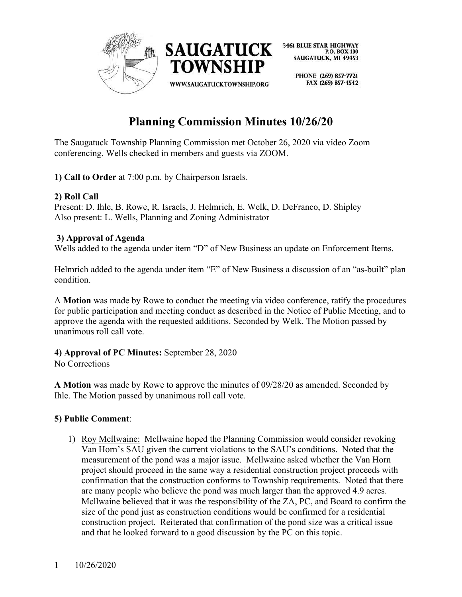

> PHONE (269) 857-7721 FAX (269) 857-4542

# **Planning Commission Minutes 10/26/20**

The Saugatuck Township Planning Commission met October 26, 2020 via video Zoom conferencing. Wells checked in members and guests via ZOOM.

**1) Call to Order** at 7:00 p.m. by Chairperson Israels.

# **2) Roll Call**

Present: D. Ihle, B. Rowe, R. Israels, J. Helmrich, E. Welk, D. DeFranco, D. Shipley Also present: L. Wells, Planning and Zoning Administrator

# **3) Approval of Agenda**

Wells added to the agenda under item "D" of New Business an update on Enforcement Items.

Helmrich added to the agenda under item "E" of New Business a discussion of an "as-built" plan condition.

A **Motion** was made by Rowe to conduct the meeting via video conference, ratify the procedures for public participation and meeting conduct as described in the Notice of Public Meeting, and to approve the agenda with the requested additions. Seconded by Welk. The Motion passed by unanimous roll call vote.

**4) Approval of PC Minutes:** September 28, 2020 No Corrections

**A Motion** was made by Rowe to approve the minutes of 09/28/20 as amended. Seconded by Ihle. The Motion passed by unanimous roll call vote.

# **5) Public Comment**:

1) Roy Mcllwaine: Mcllwaine hoped the Planning Commission would consider revoking Van Horn's SAU given the current violations to the SAU's conditions. Noted that the measurement of the pond was a major issue. Mcllwaine asked whether the Van Horn project should proceed in the same way a residential construction project proceeds with confirmation that the construction conforms to Township requirements. Noted that there are many people who believe the pond was much larger than the approved 4.9 acres. Mcllwaine believed that it was the responsibility of the ZA, PC, and Board to confirm the size of the pond just as construction conditions would be confirmed for a residential construction project. Reiterated that confirmation of the pond size was a critical issue and that he looked forward to a good discussion by the PC on this topic.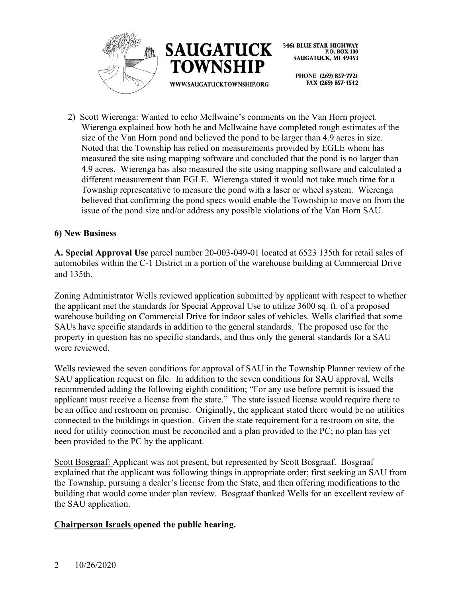



> PHONE (269) 857-7721 FAX (269) 857-4542

2) Scott Wierenga: Wanted to echo Mcllwaine's comments on the Van Horn project. Wierenga explained how both he and Mcllwaine have completed rough estimates of the size of the Van Horn pond and believed the pond to be larger than 4.9 acres in size. Noted that the Township has relied on measurements provided by EGLE whom has measured the site using mapping software and concluded that the pond is no larger than 4.9 acres. Wierenga has also measured the site using mapping software and calculated a different measurement than EGLE. Wierenga stated it would not take much time for a Township representative to measure the pond with a laser or wheel system. Wierenga believed that confirming the pond specs would enable the Township to move on from the issue of the pond size and/or address any possible violations of the Van Horn SAU.

# **6) New Business**

**A. Special Approval Use** parcel number 20-003-049-01 located at 6523 135th for retail sales of automobiles within the C-1 District in a portion of the warehouse building at Commercial Drive and 135th.

Zoning Administrator Wells reviewed application submitted by applicant with respect to whether the applicant met the standards for Special Approval Use to utilize 3600 sq. ft. of a proposed warehouse building on Commercial Drive for indoor sales of vehicles. Wells clarified that some SAUs have specific standards in addition to the general standards. The proposed use for the property in question has no specific standards, and thus only the general standards for a SAU were reviewed.

Wells reviewed the seven conditions for approval of SAU in the Township Planner review of the SAU application request on file. In addition to the seven conditions for SAU approval, Wells recommended adding the following eighth condition; "For any use before permit is issued the applicant must receive a license from the state." The state issued license would require there to be an office and restroom on premise. Originally, the applicant stated there would be no utilities connected to the buildings in question. Given the state requirement for a restroom on site, the need for utility connection must be reconciled and a plan provided to the PC; no plan has yet been provided to the PC by the applicant.

Scott Bosgraaf: Applicant was not present, but represented by Scott Bosgraaf. Bosgraaf explained that the applicant was following things in appropriate order; first seeking an SAU from the Township, pursuing a dealer's license from the State, and then offering modifications to the building that would come under plan review. Bosgraaf thanked Wells for an excellent review of the SAU application.

# **Chairperson Israels opened the public hearing.**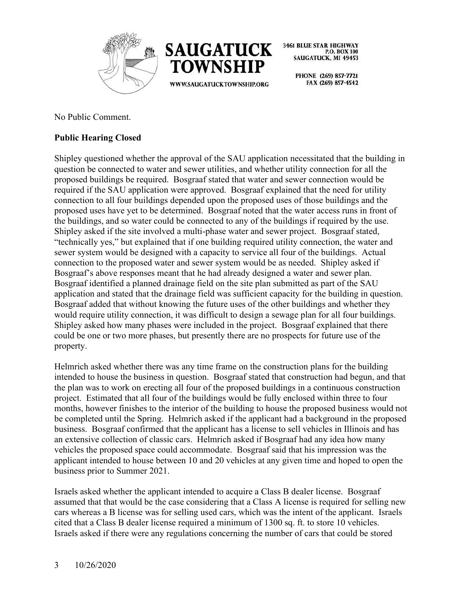



> PHONE (269) 857-7721 FAX (269) 857-4542

No Public Comment.

# **Public Hearing Closed**

Shipley questioned whether the approval of the SAU application necessitated that the building in question be connected to water and sewer utilities, and whether utility connection for all the proposed buildings be required. Bosgraaf stated that water and sewer connection would be required if the SAU application were approved. Bosgraaf explained that the need for utility connection to all four buildings depended upon the proposed uses of those buildings and the proposed uses have yet to be determined. Bosgraaf noted that the water access runs in front of the buildings, and so water could be connected to any of the buildings if required by the use. Shipley asked if the site involved a multi-phase water and sewer project. Bosgraaf stated, "technically yes," but explained that if one building required utility connection, the water and sewer system would be designed with a capacity to service all four of the buildings. Actual connection to the proposed water and sewer system would be as needed. Shipley asked if Bosgraaf's above responses meant that he had already designed a water and sewer plan. Bosgraaf identified a planned drainage field on the site plan submitted as part of the SAU application and stated that the drainage field was sufficient capacity for the building in question. Bosgraaf added that without knowing the future uses of the other buildings and whether they would require utility connection, it was difficult to design a sewage plan for all four buildings. Shipley asked how many phases were included in the project. Bosgraaf explained that there could be one or two more phases, but presently there are no prospects for future use of the property.

Helmrich asked whether there was any time frame on the construction plans for the building intended to house the business in question. Bosgraaf stated that construction had begun, and that the plan was to work on erecting all four of the proposed buildings in a continuous construction project. Estimated that all four of the buildings would be fully enclosed within three to four months, however finishes to the interior of the building to house the proposed business would not be completed until the Spring. Helmrich asked if the applicant had a background in the proposed business. Bosgraaf confirmed that the applicant has a license to sell vehicles in Illinois and has an extensive collection of classic cars. Helmrich asked if Bosgraaf had any idea how many vehicles the proposed space could accommodate. Bosgraaf said that his impression was the applicant intended to house between 10 and 20 vehicles at any given time and hoped to open the business prior to Summer 2021.

Israels asked whether the applicant intended to acquire a Class B dealer license. Bosgraaf assumed that that would be the case considering that a Class A license is required for selling new cars whereas a B license was for selling used cars, which was the intent of the applicant. Israels cited that a Class B dealer license required a minimum of 1300 sq. ft. to store 10 vehicles. Israels asked if there were any regulations concerning the number of cars that could be stored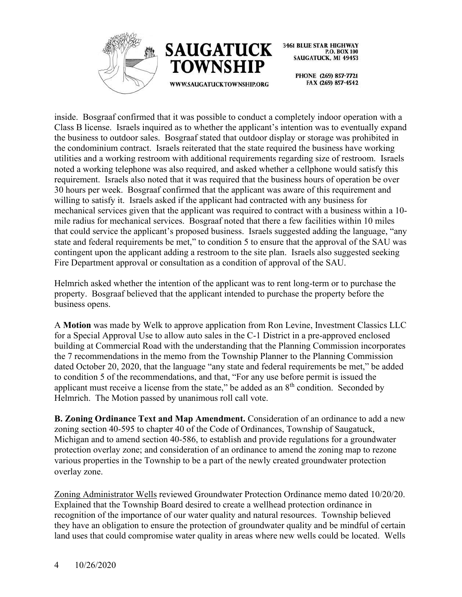



> PHONE (269) 857-7721 FAX (269) 857-4542

inside. Bosgraaf confirmed that it was possible to conduct a completely indoor operation with a Class B license. Israels inquired as to whether the applicant's intention was to eventually expand the business to outdoor sales. Bosgraaf stated that outdoor display or storage was prohibited in the condominium contract. Israels reiterated that the state required the business have working utilities and a working restroom with additional requirements regarding size of restroom. Israels noted a working telephone was also required, and asked whether a cellphone would satisfy this requirement. Israels also noted that it was required that the business hours of operation be over 30 hours per week. Bosgraaf confirmed that the applicant was aware of this requirement and willing to satisfy it. Israels asked if the applicant had contracted with any business for mechanical services given that the applicant was required to contract with a business within a 10 mile radius for mechanical services. Bosgraaf noted that there a few facilities within 10 miles that could service the applicant's proposed business. Israels suggested adding the language, "any state and federal requirements be met," to condition 5 to ensure that the approval of the SAU was contingent upon the applicant adding a restroom to the site plan. Israels also suggested seeking Fire Department approval or consultation as a condition of approval of the SAU.

Helmrich asked whether the intention of the applicant was to rent long-term or to purchase the property. Bosgraaf believed that the applicant intended to purchase the property before the business opens.

A **Motion** was made by Welk to approve application from Ron Levine, Investment Classics LLC for a Special Approval Use to allow auto sales in the C-1 District in a pre-approved enclosed building at Commercial Road with the understanding that the Planning Commission incorporates the 7 recommendations in the memo from the Township Planner to the Planning Commission dated October 20, 2020, that the language "any state and federal requirements be met," be added to condition 5 of the recommendations, and that, "For any use before permit is issued the applicant must receive a license from the state," be added as an 8<sup>th</sup> condition. Seconded by Helmrich. The Motion passed by unanimous roll call vote.

**B. Zoning Ordinance Text and Map Amendment.** Consideration of an ordinance to add a new zoning section 40-595 to chapter 40 of the Code of Ordinances, Township of Saugatuck, Michigan and to amend section 40-586, to establish and provide regulations for a groundwater protection overlay zone; and consideration of an ordinance to amend the zoning map to rezone various properties in the Township to be a part of the newly created groundwater protection overlay zone.

Zoning Administrator Wells reviewed Groundwater Protection Ordinance memo dated 10/20/20. Explained that the Township Board desired to create a wellhead protection ordinance in recognition of the importance of our water quality and natural resources. Township believed they have an obligation to ensure the protection of groundwater quality and be mindful of certain land uses that could compromise water quality in areas where new wells could be located. Wells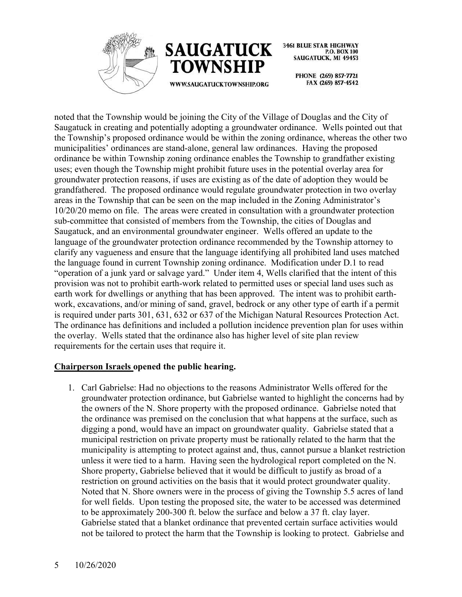



WWW.SAUGATUCKTOWNSHIP.ORG

**3461 BLUE STAR HIGHWAY** P.O. BOX 100 **SAUGATUCK, MI 49453** 

> PHONE (269) 857-7721 FAX (269) 857-4542

noted that the Township would be joining the City of the Village of Douglas and the City of Saugatuck in creating and potentially adopting a groundwater ordinance. Wells pointed out that the Township's proposed ordinance would be within the zoning ordinance, whereas the other two municipalities' ordinances are stand-alone, general law ordinances. Having the proposed ordinance be within Township zoning ordinance enables the Township to grandfather existing uses; even though the Township might prohibit future uses in the potential overlay area for groundwater protection reasons, if uses are existing as of the date of adoption they would be grandfathered. The proposed ordinance would regulate groundwater protection in two overlay areas in the Township that can be seen on the map included in the Zoning Administrator's 10/20/20 memo on file. The areas were created in consultation with a groundwater protection sub-committee that consisted of members from the Township, the cities of Douglas and Saugatuck, and an environmental groundwater engineer. Wells offered an update to the language of the groundwater protection ordinance recommended by the Township attorney to clarify any vagueness and ensure that the language identifying all prohibited land uses matched the language found in current Township zoning ordinance. Modification under D.1 to read "operation of a junk yard or salvage yard." Under item 4, Wells clarified that the intent of this provision was not to prohibit earth-work related to permitted uses or special land uses such as earth work for dwellings or anything that has been approved. The intent was to prohibit earthwork, excavations, and/or mining of sand, gravel, bedrock or any other type of earth if a permit is required under parts 301, 631, 632 or 637 of the Michigan Natural Resources Protection Act. The ordinance has definitions and included a pollution incidence prevention plan for uses within the overlay. Wells stated that the ordinance also has higher level of site plan review requirements for the certain uses that require it.

#### **Chairperson Israels opened the public hearing.**

1. Carl Gabrielse: Had no objections to the reasons Administrator Wells offered for the groundwater protection ordinance, but Gabrielse wanted to highlight the concerns had by the owners of the N. Shore property with the proposed ordinance. Gabrielse noted that the ordinance was premised on the conclusion that what happens at the surface, such as digging a pond, would have an impact on groundwater quality. Gabrielse stated that a municipal restriction on private property must be rationally related to the harm that the municipality is attempting to protect against and, thus, cannot pursue a blanket restriction unless it were tied to a harm. Having seen the hydrological report completed on the N. Shore property, Gabrielse believed that it would be difficult to justify as broad of a restriction on ground activities on the basis that it would protect groundwater quality. Noted that N. Shore owners were in the process of giving the Township 5.5 acres of land for well fields. Upon testing the proposed site, the water to be accessed was determined to be approximately 200-300 ft. below the surface and below a 37 ft. clay layer. Gabrielse stated that a blanket ordinance that prevented certain surface activities would not be tailored to protect the harm that the Township is looking to protect. Gabrielse and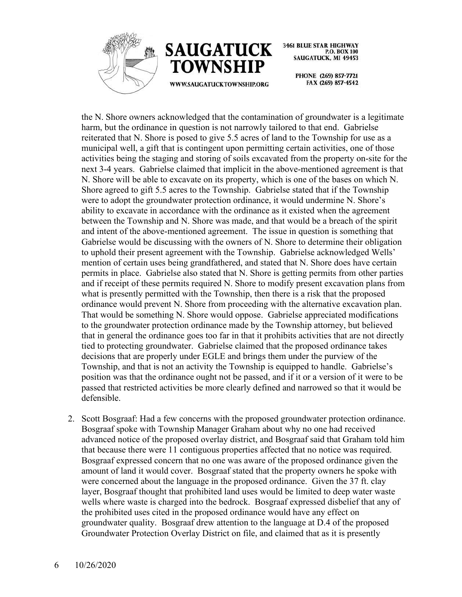



> PHONE (269) 857-7721 FAX (269) 857-4542

the N. Shore owners acknowledged that the contamination of groundwater is a legitimate harm, but the ordinance in question is not narrowly tailored to that end. Gabrielse reiterated that N. Shore is posed to give 5.5 acres of land to the Township for use as a municipal well, a gift that is contingent upon permitting certain activities, one of those activities being the staging and storing of soils excavated from the property on-site for the next 3-4 years. Gabrielse claimed that implicit in the above-mentioned agreement is that N. Shore will be able to excavate on its property, which is one of the bases on which N. Shore agreed to gift 5.5 acres to the Township. Gabrielse stated that if the Township were to adopt the groundwater protection ordinance, it would undermine N. Shore's ability to excavate in accordance with the ordinance as it existed when the agreement between the Township and N. Shore was made, and that would be a breach of the spirit and intent of the above-mentioned agreement. The issue in question is something that Gabrielse would be discussing with the owners of N. Shore to determine their obligation to uphold their present agreement with the Township. Gabrielse acknowledged Wells' mention of certain uses being grandfathered, and stated that N. Shore does have certain permits in place. Gabrielse also stated that N. Shore is getting permits from other parties and if receipt of these permits required N. Shore to modify present excavation plans from what is presently permitted with the Township, then there is a risk that the proposed ordinance would prevent N. Shore from proceeding with the alternative excavation plan. That would be something N. Shore would oppose. Gabrielse appreciated modifications to the groundwater protection ordinance made by the Township attorney, but believed that in general the ordinance goes too far in that it prohibits activities that are not directly tied to protecting groundwater. Gabrielse claimed that the proposed ordinance takes decisions that are properly under EGLE and brings them under the purview of the Township, and that is not an activity the Township is equipped to handle. Gabrielse's position was that the ordinance ought not be passed, and if it or a version of it were to be passed that restricted activities be more clearly defined and narrowed so that it would be defensible.

2. Scott Bosgraaf: Had a few concerns with the proposed groundwater protection ordinance. Bosgraaf spoke with Township Manager Graham about why no one had received advanced notice of the proposed overlay district, and Bosgraaf said that Graham told him that because there were 11 contiguous properties affected that no notice was required. Bosgraaf expressed concern that no one was aware of the proposed ordinance given the amount of land it would cover. Bosgraaf stated that the property owners he spoke with were concerned about the language in the proposed ordinance. Given the 37 ft. clay layer, Bosgraaf thought that prohibited land uses would be limited to deep water waste wells where waste is charged into the bedrock. Bosgraaf expressed disbelief that any of the prohibited uses cited in the proposed ordinance would have any effect on groundwater quality. Bosgraaf drew attention to the language at D.4 of the proposed Groundwater Protection Overlay District on file, and claimed that as it is presently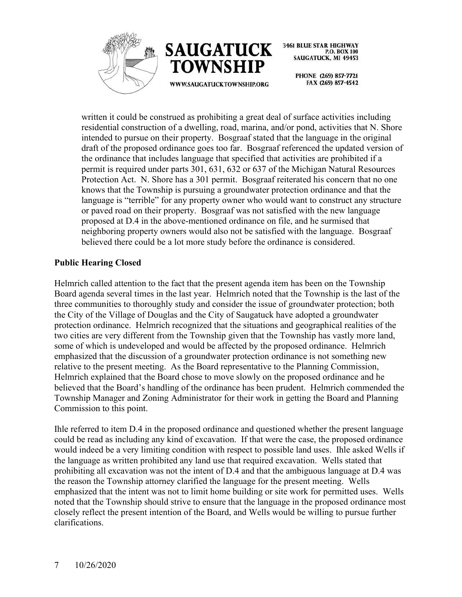



> PHONE (269) 857-7721 FAX (269) 857-4542

written it could be construed as prohibiting a great deal of surface activities including residential construction of a dwelling, road, marina, and/or pond, activities that N. Shore intended to pursue on their property. Bosgraaf stated that the language in the original draft of the proposed ordinance goes too far. Bosgraaf referenced the updated version of the ordinance that includes language that specified that activities are prohibited if a permit is required under parts 301, 631, 632 or 637 of the Michigan Natural Resources Protection Act. N. Shore has a 301 permit. Bosgraaf reiterated his concern that no one knows that the Township is pursuing a groundwater protection ordinance and that the language is "terrible" for any property owner who would want to construct any structure or paved road on their property. Bosgraaf was not satisfied with the new language proposed at D.4 in the above-mentioned ordinance on file, and he surmised that neighboring property owners would also not be satisfied with the language. Bosgraaf believed there could be a lot more study before the ordinance is considered.

# **Public Hearing Closed**

Helmrich called attention to the fact that the present agenda item has been on the Township Board agenda several times in the last year. Helmrich noted that the Township is the last of the three communities to thoroughly study and consider the issue of groundwater protection; both the City of the Village of Douglas and the City of Saugatuck have adopted a groundwater protection ordinance. Helmrich recognized that the situations and geographical realities of the two cities are very different from the Township given that the Township has vastly more land, some of which is undeveloped and would be affected by the proposed ordinance. Helmrich emphasized that the discussion of a groundwater protection ordinance is not something new relative to the present meeting. As the Board representative to the Planning Commission, Helmrich explained that the Board chose to move slowly on the proposed ordinance and he believed that the Board's handling of the ordinance has been prudent. Helmrich commended the Township Manager and Zoning Administrator for their work in getting the Board and Planning Commission to this point.

Ihle referred to item D.4 in the proposed ordinance and questioned whether the present language could be read as including any kind of excavation. If that were the case, the proposed ordinance would indeed be a very limiting condition with respect to possible land uses. Ihle asked Wells if the language as written prohibited any land use that required excavation. Wells stated that prohibiting all excavation was not the intent of D.4 and that the ambiguous language at D.4 was the reason the Township attorney clarified the language for the present meeting. Wells emphasized that the intent was not to limit home building or site work for permitted uses. Wells noted that the Township should strive to ensure that the language in the proposed ordinance most closely reflect the present intention of the Board, and Wells would be willing to pursue further clarifications.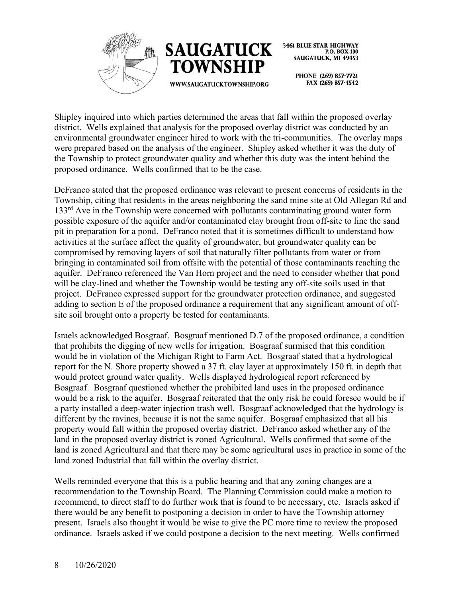



> PHONE (269) 857-7721 FAX (269) 857-4542

Shipley inquired into which parties determined the areas that fall within the proposed overlay district. Wells explained that analysis for the proposed overlay district was conducted by an environmental groundwater engineer hired to work with the tri-communities. The overlay maps were prepared based on the analysis of the engineer. Shipley asked whether it was the duty of the Township to protect groundwater quality and whether this duty was the intent behind the proposed ordinance. Wells confirmed that to be the case.

DeFranco stated that the proposed ordinance was relevant to present concerns of residents in the Township, citing that residents in the areas neighboring the sand mine site at Old Allegan Rd and  $133<sup>rd</sup>$  Ave in the Township were concerned with pollutants contaminating ground water form possible exposure of the aquifer and/or contaminated clay brought from off-site to line the sand pit in preparation for a pond. DeFranco noted that it is sometimes difficult to understand how activities at the surface affect the quality of groundwater, but groundwater quality can be compromised by removing layers of soil that naturally filter pollutants from water or from bringing in contaminated soil from offsite with the potential of those contaminants reaching the aquifer. DeFranco referenced the Van Horn project and the need to consider whether that pond will be clay-lined and whether the Township would be testing any off-site soils used in that project. DeFranco expressed support for the groundwater protection ordinance, and suggested adding to section E of the proposed ordinance a requirement that any significant amount of offsite soil brought onto a property be tested for contaminants.

Israels acknowledged Bosgraaf. Bosgraaf mentioned D.7 of the proposed ordinance, a condition that prohibits the digging of new wells for irrigation. Bosgraaf surmised that this condition would be in violation of the Michigan Right to Farm Act. Bosgraaf stated that a hydrological report for the N. Shore property showed a 37 ft. clay layer at approximately 150 ft. in depth that would protect ground water quality. Wells displayed hydrological report referenced by Bosgraaf. Bosgraaf questioned whether the prohibited land uses in the proposed ordinance would be a risk to the aquifer. Bosgraaf reiterated that the only risk he could foresee would be if a party installed a deep-water injection trash well. Bosgraaf acknowledged that the hydrology is different by the ravines, because it is not the same aquifer. Bosgraaf emphasized that all his property would fall within the proposed overlay district. DeFranco asked whether any of the land in the proposed overlay district is zoned Agricultural. Wells confirmed that some of the land is zoned Agricultural and that there may be some agricultural uses in practice in some of the land zoned Industrial that fall within the overlay district.

Wells reminded everyone that this is a public hearing and that any zoning changes are a recommendation to the Township Board. The Planning Commission could make a motion to recommend, to direct staff to do further work that is found to be necessary, etc. Israels asked if there would be any benefit to postponing a decision in order to have the Township attorney present. Israels also thought it would be wise to give the PC more time to review the proposed ordinance. Israels asked if we could postpone a decision to the next meeting. Wells confirmed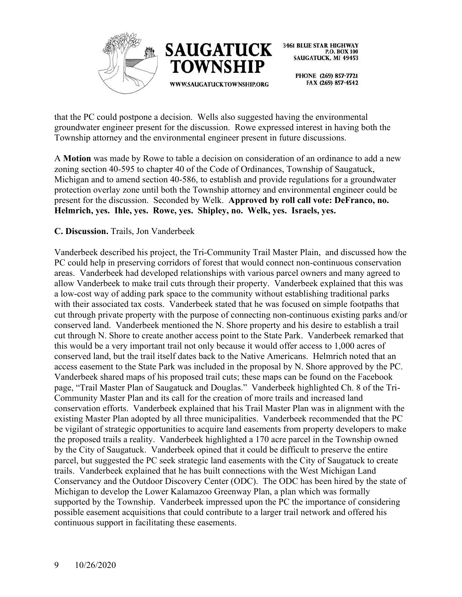



PHONE (269) 857-7721 FAX (269) 857-4542

that the PC could postpone a decision. Wells also suggested having the environmental groundwater engineer present for the discussion. Rowe expressed interest in having both the Township attorney and the environmental engineer present in future discussions.

A **Motion** was made by Rowe to table a decision on consideration of an ordinance to add a new zoning section 40-595 to chapter 40 of the Code of Ordinances, Township of Saugatuck, Michigan and to amend section 40-586, to establish and provide regulations for a groundwater protection overlay zone until both the Township attorney and environmental engineer could be present for the discussion. Seconded by Welk. **Approved by roll call vote: DeFranco, no. Helmrich, yes. Ihle, yes. Rowe, yes. Shipley, no. Welk, yes. Israels, yes.**

#### **C. Discussion.** Trails, Jon Vanderbeek

Vanderbeek described his project, the Tri-Community Trail Master Plain, and discussed how the PC could help in preserving corridors of forest that would connect non-continuous conservation areas. Vanderbeek had developed relationships with various parcel owners and many agreed to allow Vanderbeek to make trail cuts through their property. Vanderbeek explained that this was a low-cost way of adding park space to the community without establishing traditional parks with their associated tax costs. Vanderbeek stated that he was focused on simple footpaths that cut through private property with the purpose of connecting non-continuous existing parks and/or conserved land. Vanderbeek mentioned the N. Shore property and his desire to establish a trail cut through N. Shore to create another access point to the State Park. Vanderbeek remarked that this would be a very important trail not only because it would offer access to 1,000 acres of conserved land, but the trail itself dates back to the Native Americans. Helmrich noted that an access easement to the State Park was included in the proposal by N. Shore approved by the PC. Vanderbeek shared maps of his proposed trail cuts; these maps can be found on the Facebook page, "Trail Master Plan of Saugatuck and Douglas." Vanderbeek highlighted Ch. 8 of the Tri-Community Master Plan and its call for the creation of more trails and increased land conservation efforts. Vanderbeek explained that his Trail Master Plan was in alignment with the existing Master Plan adopted by all three municipalities. Vanderbeek recommended that the PC be vigilant of strategic opportunities to acquire land easements from property developers to make the proposed trails a reality. Vanderbeek highlighted a 170 acre parcel in the Township owned by the City of Saugatuck. Vanderbeek opined that it could be difficult to preserve the entire parcel, but suggested the PC seek strategic land easements with the City of Saugatuck to create trails. Vanderbeek explained that he has built connections with the West Michigan Land Conservancy and the Outdoor Discovery Center (ODC). The ODC has been hired by the state of Michigan to develop the Lower Kalamazoo Greenway Plan, a plan which was formally supported by the Township. Vanderbeek impressed upon the PC the importance of considering possible easement acquisitions that could contribute to a larger trail network and offered his continuous support in facilitating these easements.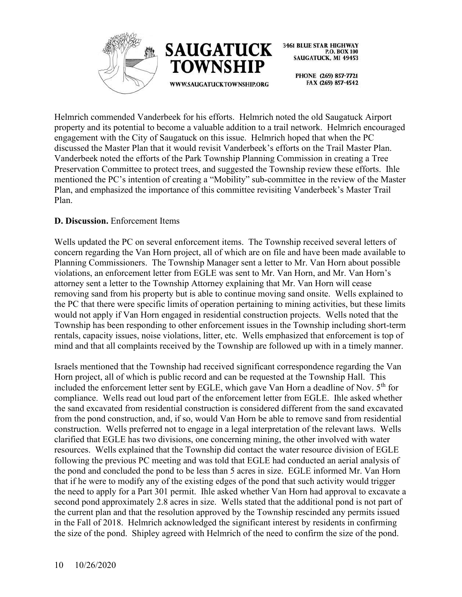



> PHONE (269) 857-7721 FAX (269) 857-4542

Helmrich commended Vanderbeek for his efforts. Helmrich noted the old Saugatuck Airport property and its potential to become a valuable addition to a trail network. Helmrich encouraged engagement with the City of Saugatuck on this issue. Helmrich hoped that when the PC discussed the Master Plan that it would revisit Vanderbeek's efforts on the Trail Master Plan. Vanderbeek noted the efforts of the Park Township Planning Commission in creating a Tree Preservation Committee to protect trees, and suggested the Township review these efforts. Ihle mentioned the PC's intention of creating a "Mobility" sub-committee in the review of the Master Plan, and emphasized the importance of this committee revisiting Vanderbeek's Master Trail Plan.

# **D. Discussion.** Enforcement Items

Wells updated the PC on several enforcement items. The Township received several letters of concern regarding the Van Horn project, all of which are on file and have been made available to Planning Commissioners. The Township Manager sent a letter to Mr. Van Horn about possible violations, an enforcement letter from EGLE was sent to Mr. Van Horn, and Mr. Van Horn's attorney sent a letter to the Township Attorney explaining that Mr. Van Horn will cease removing sand from his property but is able to continue moving sand onsite. Wells explained to the PC that there were specific limits of operation pertaining to mining activities, but these limits would not apply if Van Horn engaged in residential construction projects. Wells noted that the Township has been responding to other enforcement issues in the Township including short-term rentals, capacity issues, noise violations, litter, etc. Wells emphasized that enforcement is top of mind and that all complaints received by the Township are followed up with in a timely manner.

Israels mentioned that the Township had received significant correspondence regarding the Van Horn project, all of which is public record and can be requested at the Township Hall. This included the enforcement letter sent by EGLE, which gave Van Horn a deadline of Nov.  $5<sup>th</sup>$  for compliance. Wells read out loud part of the enforcement letter from EGLE. Ihle asked whether the sand excavated from residential construction is considered different from the sand excavated from the pond construction, and, if so, would Van Horn be able to remove sand from residential construction. Wells preferred not to engage in a legal interpretation of the relevant laws. Wells clarified that EGLE has two divisions, one concerning mining, the other involved with water resources. Wells explained that the Township did contact the water resource division of EGLE following the previous PC meeting and was told that EGLE had conducted an aerial analysis of the pond and concluded the pond to be less than 5 acres in size. EGLE informed Mr. Van Horn that if he were to modify any of the existing edges of the pond that such activity would trigger the need to apply for a Part 301 permit. Ihle asked whether Van Horn had approval to excavate a second pond approximately 2.8 acres in size. Wells stated that the additional pond is not part of the current plan and that the resolution approved by the Township rescinded any permits issued in the Fall of 2018. Helmrich acknowledged the significant interest by residents in confirming the size of the pond. Shipley agreed with Helmrich of the need to confirm the size of the pond.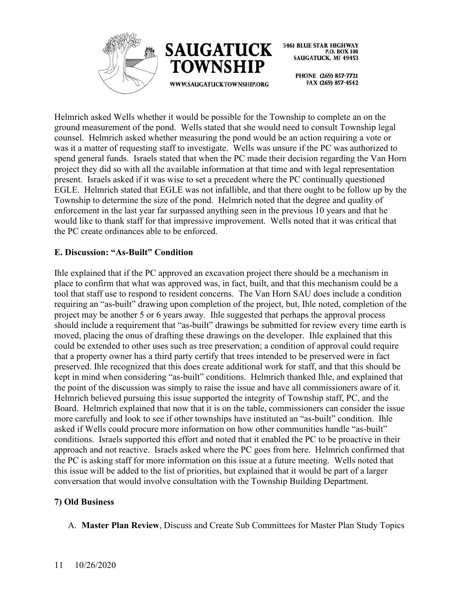



> PHONE (269) 857-7721 FAX (269) 857-4542

Helmrich asked Wells whether it would be possible for the Township to complete an on the ground measurement of the pond. Wells stated that she would need to consult Township legal counsel. Helmrich asked whether measuring the pond would be an action requiring a vote or was it a matter of requesting staff to investigate. Wells was unsure if the PC was authorized to spend general funds. Israels stated that when the PC made their decision regarding the Van Horn project they did so with all the available information at that time and with legal representation present. Israels asked if it was wise to set a precedent where the PC continually questioned EGLE. Helmrich stated that EGLE was not infallible, and that there ought to be follow up by the Township to determine the size of the pond. Helmrich noted that the degree and quality of enforcement in the last year far surpassed anything seen in the previous 10 years and that he would like to thank staff for that impressive improvement. Wells noted that it was critical that the PC create ordinances able to be enforced.

# **E. Discussion: "As-Built" Condition**

Ihle explained that if the PC approved an excavation project there should be a mechanism in place to confirm that what was approved was, in fact, built, and that this mechanism could be a tool that staff use to respond to resident concerns. The Van Horn SAU does include a condition requiring an "as-built" drawing upon completion of the project, but, Ihle noted, completion of the project may be another 5 or 6 years away. Ihle suggested that perhaps the approval process should include a requirement that "as-built" drawings be submitted for review every time earth is moved, placing the onus of drafting these drawings on the developer. Ihle explained that this could be extended to other uses such as tree preservation; a condition of approval could require that a property owner has a third party certify that trees intended to be preserved were in fact preserved. Ihle recognized that this does create additional work for staff, and that this should be kept in mind when considering "as-built" conditions. Helmrich thanked Ihle, and explained that the point of the discussion was simply to raise the issue and have all commissioners aware of it. Helmrich believed pursuing this issue supported the integrity of Township staff, PC, and the Board. Helmrich explained that now that it is on the table, commissioners can consider the issue more carefully and look to see if other townships have instituted an "as-built" condition. Ihle asked if Wells could procure more information on how other communities handle "as-built" conditions. Israels supported this effort and noted that it enabled the PC to be proactive in their approach and not reactive. Israels asked where the PC goes from here. Helmrich confirmed that the PC is asking staff for more information on this issue at a future meeting. Wells noted that this issue will be added to the list of priorities, but explained that it would be part of a larger conversation that would involve consultation with the Township Building Department.

# **7) Old Business**

A. **Master Plan Review**, Discuss and Create Sub Committees for Master Plan Study Topics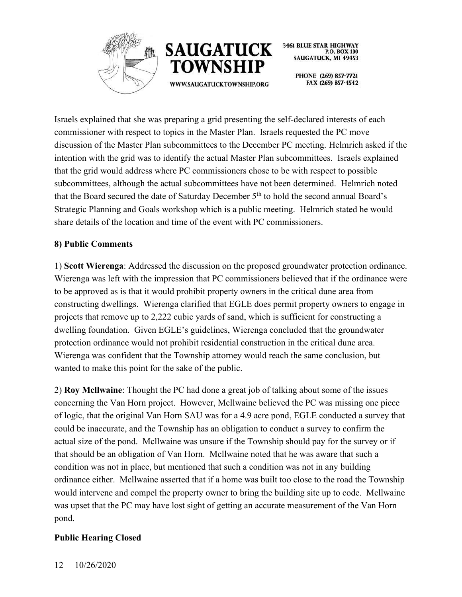



WWW.SAUGATUCKTOWNSHIP.ORG

SAUGATUCK, MI 49453 PHONE (269) 857-7721

P.O. BOX 100

**3461 BLUE STAR HIGHWAY** 

FAX (269) 857-4542

Israels explained that she was preparing a grid presenting the self-declared interests of each commissioner with respect to topics in the Master Plan. Israels requested the PC move discussion of the Master Plan subcommittees to the December PC meeting. Helmrich asked if the intention with the grid was to identify the actual Master Plan subcommittees. Israels explained that the grid would address where PC commissioners chose to be with respect to possible subcommittees, although the actual subcommittees have not been determined. Helmrich noted that the Board secured the date of Saturday December 5<sup>th</sup> to hold the second annual Board's Strategic Planning and Goals workshop which is a public meeting. Helmrich stated he would share details of the location and time of the event with PC commissioners.

# **8) Public Comments**

1) **Scott Wierenga**: Addressed the discussion on the proposed groundwater protection ordinance. Wierenga was left with the impression that PC commissioners believed that if the ordinance were to be approved as is that it would prohibit property owners in the critical dune area from constructing dwellings. Wierenga clarified that EGLE does permit property owners to engage in projects that remove up to 2,222 cubic yards of sand, which is sufficient for constructing a dwelling foundation. Given EGLE's guidelines, Wierenga concluded that the groundwater protection ordinance would not prohibit residential construction in the critical dune area. Wierenga was confident that the Township attorney would reach the same conclusion, but wanted to make this point for the sake of the public.

2) **Roy Mcllwaine**: Thought the PC had done a great job of talking about some of the issues concerning the Van Horn project. However, Mcllwaine believed the PC was missing one piece of logic, that the original Van Horn SAU was for a 4.9 acre pond, EGLE conducted a survey that could be inaccurate, and the Township has an obligation to conduct a survey to confirm the actual size of the pond. Mcllwaine was unsure if the Township should pay for the survey or if that should be an obligation of Van Horn. Mcllwaine noted that he was aware that such a condition was not in place, but mentioned that such a condition was not in any building ordinance either. Mcllwaine asserted that if a home was built too close to the road the Township would intervene and compel the property owner to bring the building site up to code. Mcllwaine was upset that the PC may have lost sight of getting an accurate measurement of the Van Horn pond.

# **Public Hearing Closed**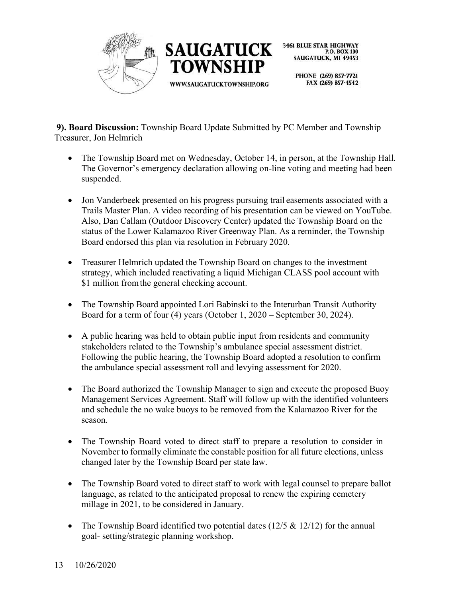



> PHONE (269) 857-7721 FAX (269) 857-4542

**9). Board Discussion:** Township Board Update Submitted by PC Member and Township Treasurer, Jon Helmrich

- The Township Board met on Wednesday, October 14, in person, at the Township Hall. The Governor's emergency declaration allowing on-line voting and meeting had been suspended.
- Jon Vanderbeek presented on his progress pursuing trail easements associated with a Trails Master Plan. A video recording of his presentation can be viewed on YouTube. Also, Dan Callam (Outdoor Discovery Center) updated the Township Board on the status of the Lower Kalamazoo River Greenway Plan. As a reminder, the Township Board endorsed this plan via resolution in February 2020.
- Treasurer Helmrich updated the Township Board on changes to the investment strategy, which included reactivating a liquid Michigan CLASS pool account with \$1 million from the general checking account.
- The Township Board appointed Lori Babinski to the Interurban Transit Authority Board for a term of four (4) years (October 1, 2020 – September 30, 2024).
- A public hearing was held to obtain public input from residents and community stakeholders related to the Township's ambulance special assessment district. Following the public hearing, the Township Board adopted a resolution to confirm the ambulance special assessment roll and levying assessment for 2020.
- The Board authorized the Township Manager to sign and execute the proposed Buoy Management Services Agreement. Staff will follow up with the identified volunteers and schedule the no wake buoys to be removed from the Kalamazoo River for the season.
- The Township Board voted to direct staff to prepare a resolution to consider in November to formally eliminate the constable position for all future elections, unless changed later by the Township Board per state law.
- The Township Board voted to direct staff to work with legal counsel to prepare ballot language, as related to the anticipated proposal to renew the expiring cemetery millage in 2021, to be considered in January.
- The Township Board identified two potential dates  $(12/5 \& 12/12)$  for the annual goal- setting/strategic planning workshop.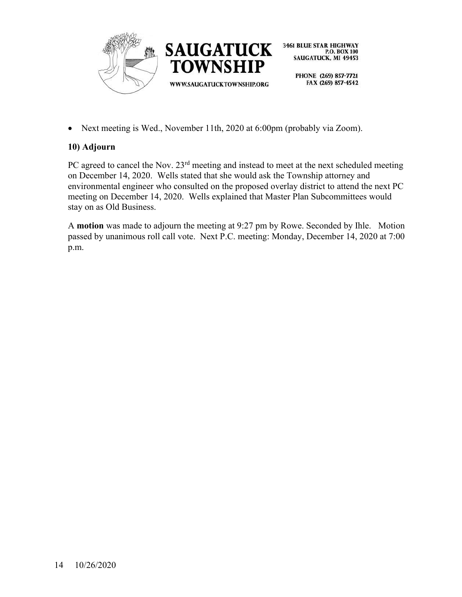

• Next meeting is Wed., November 11th, 2020 at 6:00pm (probably via Zoom).

# **10) Adjourn**

PC agreed to cancel the Nov. 23<sup>rd</sup> meeting and instead to meet at the next scheduled meeting on December 14, 2020. Wells stated that she would ask the Township attorney and environmental engineer who consulted on the proposed overlay district to attend the next PC meeting on December 14, 2020. Wells explained that Master Plan Subcommittees would stay on as Old Business.

A **motion** was made to adjourn the meeting at 9:27 pm by Rowe. Seconded by Ihle. Motion passed by unanimous roll call vote. Next P.C. meeting: Monday, December 14, 2020 at 7:00 p.m.